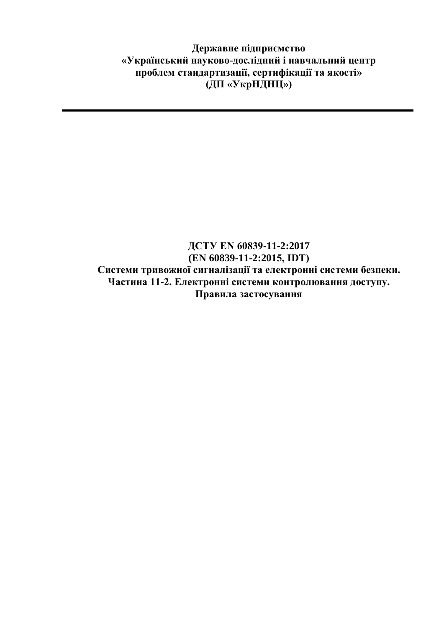**Державне підприємство «Український науково-дослідний і навчальний центр проблем стандартизації, сертифікації та якості» (ДП «УкрНДНЦ»)**

## **ДСТУ EN 60839-11-2:2017 (EN 60839-11-2:2015, IDТ) Системи тривожної сигналізації та електронні системи безпеки. Частина 11-2. Електронні системи контролювання доступу. Правила застосування**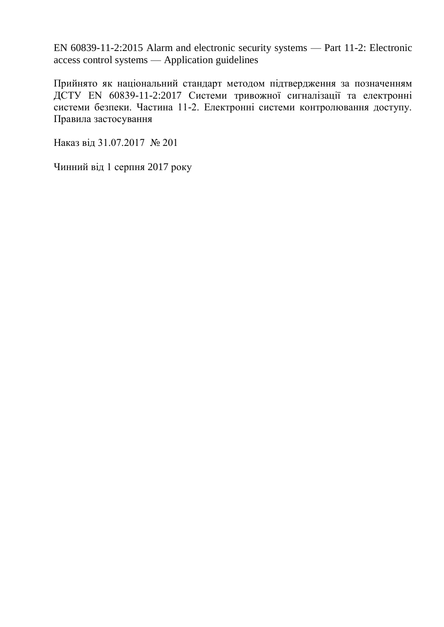EN 60839-11-2:2015 Alarm and electronic security systems — Part 11-2: Electronic access control systems — Application guidelines

Прийнято як національний стандарт методом підтвердження за позначенням ДСТУ EN 60839-11-2:2017 Системи тривожної сигналізації та електронні системи безпеки. Частина 11-2. Електронні системи контролювання доступу. Правила застосування

Наказ від 31.07.2017 № 201

Чинний від 1 серпня 2017 року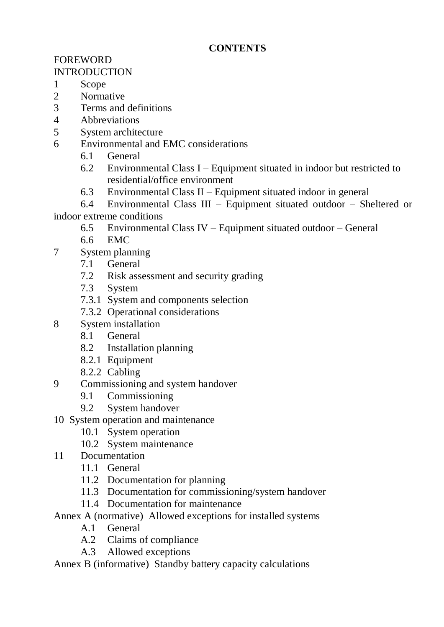## **CONTENTS**

## FOREWORD **INTRODUCTION**

- 1 Scope
- 2 Normative
- 3 Terms and definitions
- 4 Abbreviations
- 5 System architecture
- 6 Environmental and EMC considerations
	- 6.1 General
	- 6.2 Environmental Class I Equipment situated in indoor but restricted to residential/office environment
	- 6.3 Environmental Class II Equipment situated indoor in general
- 6.4 Environmental Class III Equipment situated outdoor Sheltered or indoor extreme conditions
	- 6.5 Environmental Class IV Equipment situated outdoor General
	- 6.6 EMC
- 7 System planning
	- 7.1 General
	- 7.2 Risk assessment and security grading
	- 7.3 System
	- 7.3.1 System and components selection
	- 7.3.2 Operational considerations
- 8 System installation
	- 8.1 General
	- 8.2 Installation planning
	- 8.2.1 Equipment
	- 8.2.2 Cabling
- 9 Commissioning and system handover
	- 9.1 Commissioning
	- 9.2 System handover
- 10 System operation and maintenance
	- 10.1 System operation
	- 10.2 System maintenance
- 11 Documentation
	- 11.1 General
	- 11.2 Documentation for planning
	- 11.3 Documentation for commissioning/system handover
	- 11.4 Documentation for maintenance
- Annex A (normative) Allowed exceptions for installed systems
	- A.1 General
	- A.2 Claims of compliance
	- A.3 Allowed exceptions
- Annex B (informative) Standby battery capacity calculations